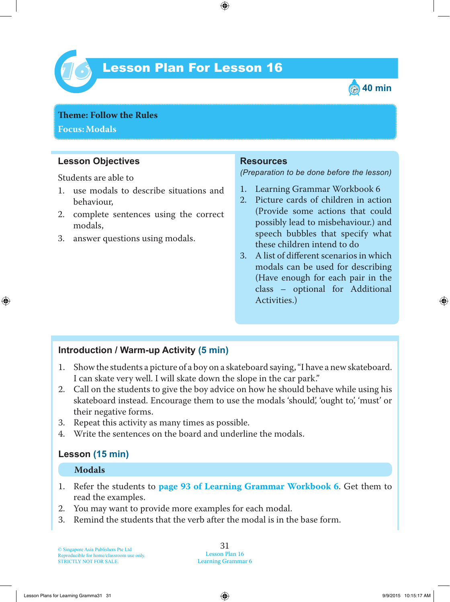

# Lesson Plan For Lesson 16 *16*



**Theme: Follow the Rules Focus: Modals**

### **Lesson Objectives**

Students are able to

- 1. use modals to describe situations and behaviour,
- 2. complete sentences using the correct modals,
- 3. answer questions using modals.

### **Resources**

*(Preparation to be done before the lesson)*

- 1. Learning Grammar Workbook 6
- 2. Picture cards of children in action (Provide some actions that could possibly lead to misbehaviour.) and speech bubbles that specify what these children intend to do
- 3. A list of different scenarios in which modals can be used for describing (Have enough for each pair in the class – optional for Additional Activities.)

### **Introduction / Warm-up Activity (5 min)**

- 1. Show the students a picture of a boy on a skateboard saying, "I have a new skateboard. I can skate very well. I will skate down the slope in the car park."
- 2. Call on the students to give the boy advice on how he should behave while using his skateboard instead. Encourage them to use the modals 'should', 'ought to', 'must' or their negative forms.
- 3. Repeat this activity as many times as possible.
- 4. Write the sentences on the board and underline the modals.

### **Lesson (15 min)**

### **Modals**

- 1. Refer the students to **page 93 of Learning Grammar Workbook 6**. Get them to read the examples.
- 2. You may want to provide more examples for each modal.
- 3. Remind the students that the verb after the modal is in the base form.

#### 31 Lesson Plan 16 Learning Grammar 6